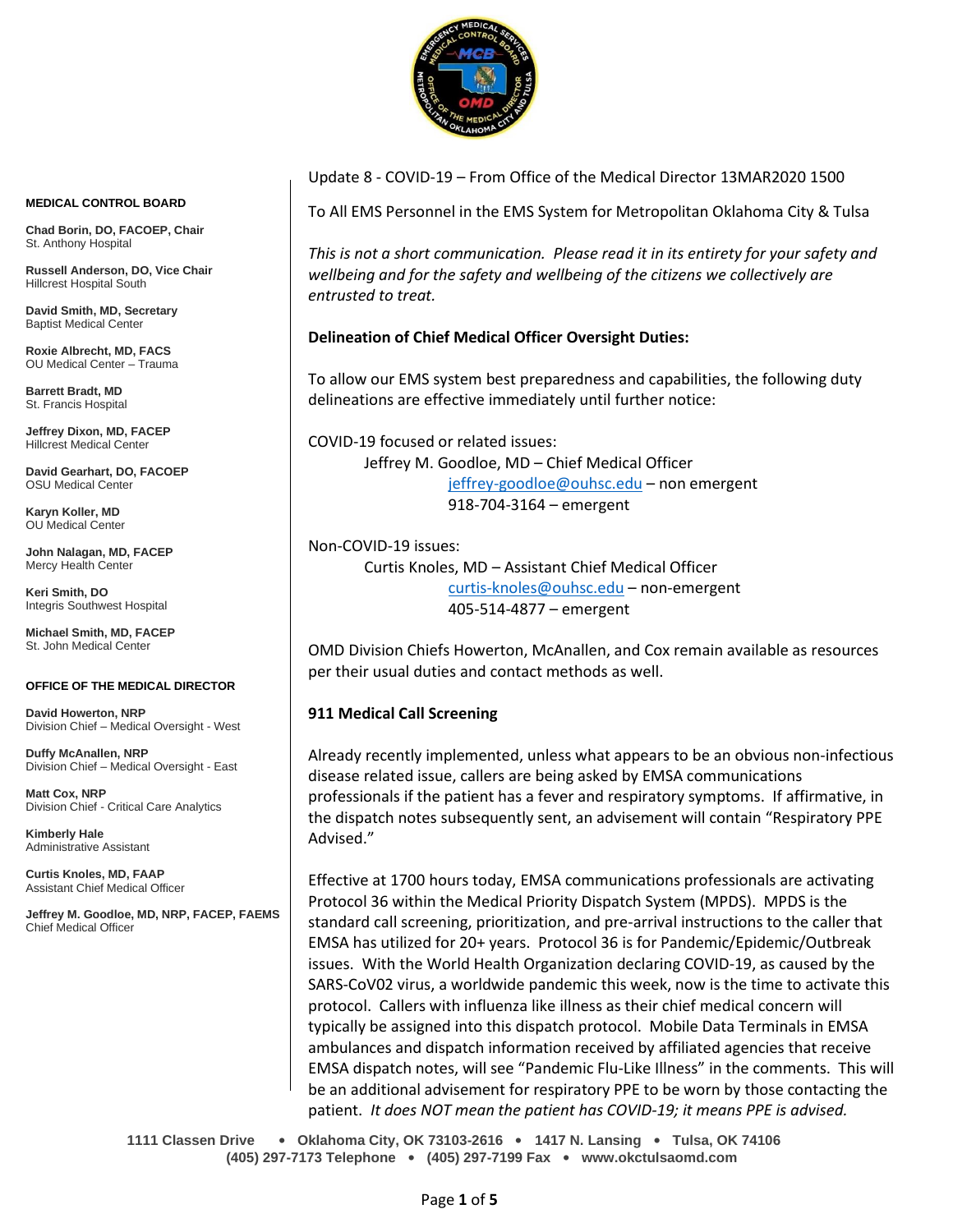

#### **MEDICAL CONTROL BOARD**

**Chad Borin, DO, FACOEP, Chair**  St. Anthony Hospital

**Russell Anderson, DO, Vice Chair** Hillcrest Hospital South

**David Smith, MD, Secretary** Baptist Medical Center

**Roxie Albrecht, MD, FACS** OU Medical Center – Trauma

**Barrett Bradt, MD** St. Francis Hospital

**Jeffrey Dixon, MD, FACEP** Hillcrest Medical Center

**David Gearhart, DO, FACOEP** OSU Medical Center

**Karyn Koller, MD** OU Medical Center

**John Nalagan, MD, FACEP** Mercy Health Center

**Keri Smith, DO** Integris Southwest Hospital

**Michael Smith, MD, FACEP** St. John Medical Center

#### **OFFICE OF THE MEDICAL DIRECTOR**

**David Howerton, NRP** Division Chief – Medical Oversight - West

**Duffy McAnallen, NRP** Division Chief – Medical Oversight - East

**Matt Cox, NRP** Division Chief - Critical Care Analytics

**Kimberly Hale** Administrative Assistant

**Curtis Knoles, MD, FAAP** Assistant Chief Medical Officer

**Jeffrey M. Goodloe, MD, NRP, FACEP, FAEMS** Chief Medical Officer

#### Update 8 - COVID-19 – From Office of the Medical Director 13MAR2020 1500

To All EMS Personnel in the EMS System for Metropolitan Oklahoma City & Tulsa

*This is not a short communication. Please read it in its entirety for your safety and wellbeing and for the safety and wellbeing of the citizens we collectively are entrusted to treat.*

#### **Delineation of Chief Medical Officer Oversight Duties:**

To allow our EMS system best preparedness and capabilities, the following duty delineations are effective immediately until further notice:

COVID-19 focused or related issues: Jeffrey M. Goodloe, MD – Chief Medical Officer [jeffrey-goodloe@ouhsc.edu](mailto:jeffrey-goodloe@ouhsc.edu) – non emergent 918-704-3164 – emergent

Non-COVID-19 issues:

Curtis Knoles, MD – Assistant Chief Medical Officer [curtis-knoles@ouhsc.edu](mailto:curtis-knoles@ouhsc.edu) – non-emergent 405-514-4877 – emergent

OMD Division Chiefs Howerton, McAnallen, and Cox remain available as resources per their usual duties and contact methods as well.

#### **911 Medical Call Screening**

Already recently implemented, unless what appears to be an obvious non-infectious disease related issue, callers are being asked by EMSA communications professionals if the patient has a fever and respiratory symptoms. If affirmative, in the dispatch notes subsequently sent, an advisement will contain "Respiratory PPE Advised."

Effective at 1700 hours today, EMSA communications professionals are activating Protocol 36 within the Medical Priority Dispatch System (MPDS). MPDS is the standard call screening, prioritization, and pre-arrival instructions to the caller that EMSA has utilized for 20+ years. Protocol 36 is for Pandemic/Epidemic/Outbreak issues. With the World Health Organization declaring COVID-19, as caused by the SARS-CoV02 virus, a worldwide pandemic this week, now is the time to activate this protocol. Callers with influenza like illness as their chief medical concern will typically be assigned into this dispatch protocol. Mobile Data Terminals in EMSA ambulances and dispatch information received by affiliated agencies that receive EMSA dispatch notes, will see "Pandemic Flu-Like Illness" in the comments. This will be an additional advisement for respiratory PPE to be worn by those contacting the patient. *It does NOT mean the patient has COVID-19; it means PPE is advised.*

**1111 Classen Drive** • **Oklahoma City, OK 73103-2616** • **1417 N. Lansing** • **Tulsa, OK 74106 (405) 297-7173 Telephone** • **(405) 297-7199 Fax** • **www.okctulsaomd.com**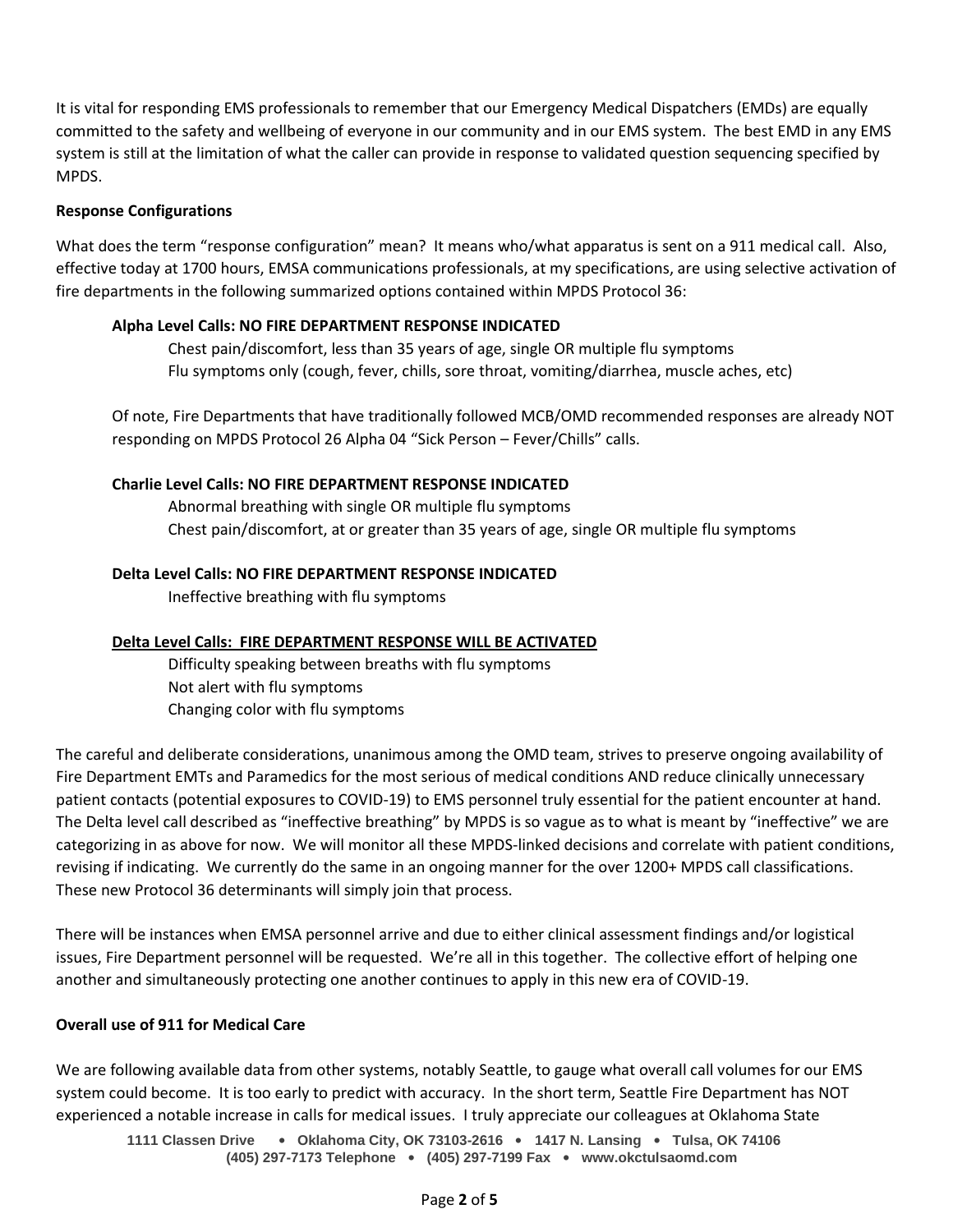It is vital for responding EMS professionals to remember that our Emergency Medical Dispatchers (EMDs) are equally committed to the safety and wellbeing of everyone in our community and in our EMS system. The best EMD in any EMS system is still at the limitation of what the caller can provide in response to validated question sequencing specified by MPDS.

## **Response Configurations**

What does the term "response configuration" mean? It means who/what apparatus is sent on a 911 medical call. Also, effective today at 1700 hours, EMSA communications professionals, at my specifications, are using selective activation of fire departments in the following summarized options contained within MPDS Protocol 36:

# **Alpha Level Calls: NO FIRE DEPARTMENT RESPONSE INDICATED**

Chest pain/discomfort, less than 35 years of age, single OR multiple flu symptoms Flu symptoms only (cough, fever, chills, sore throat, vomiting/diarrhea, muscle aches, etc)

Of note, Fire Departments that have traditionally followed MCB/OMD recommended responses are already NOT responding on MPDS Protocol 26 Alpha 04 "Sick Person – Fever/Chills" calls.

# **Charlie Level Calls: NO FIRE DEPARTMENT RESPONSE INDICATED**

Abnormal breathing with single OR multiple flu symptoms Chest pain/discomfort, at or greater than 35 years of age, single OR multiple flu symptoms

# **Delta Level Calls: NO FIRE DEPARTMENT RESPONSE INDICATED**

Ineffective breathing with flu symptoms

## **Delta Level Calls: FIRE DEPARTMENT RESPONSE WILL BE ACTIVATED**

Difficulty speaking between breaths with flu symptoms Not alert with flu symptoms Changing color with flu symptoms

The careful and deliberate considerations, unanimous among the OMD team, strives to preserve ongoing availability of Fire Department EMTs and Paramedics for the most serious of medical conditions AND reduce clinically unnecessary patient contacts (potential exposures to COVID-19) to EMS personnel truly essential for the patient encounter at hand. The Delta level call described as "ineffective breathing" by MPDS is so vague as to what is meant by "ineffective" we are categorizing in as above for now. We will monitor all these MPDS-linked decisions and correlate with patient conditions, revising if indicating. We currently do the same in an ongoing manner for the over 1200+ MPDS call classifications. These new Protocol 36 determinants will simply join that process.

There will be instances when EMSA personnel arrive and due to either clinical assessment findings and/or logistical issues, Fire Department personnel will be requested. We're all in this together. The collective effort of helping one another and simultaneously protecting one another continues to apply in this new era of COVID-19.

## **Overall use of 911 for Medical Care**

We are following available data from other systems, notably Seattle, to gauge what overall call volumes for our EMS system could become. It is too early to predict with accuracy. In the short term, Seattle Fire Department has NOT experienced a notable increase in calls for medical issues. I truly appreciate our colleagues at Oklahoma State

**1111 Classen Drive** • **Oklahoma City, OK 73103-2616** • **1417 N. Lansing** • **Tulsa, OK 74106 (405) 297-7173 Telephone** • **(405) 297-7199 Fax** • **www.okctulsaomd.com**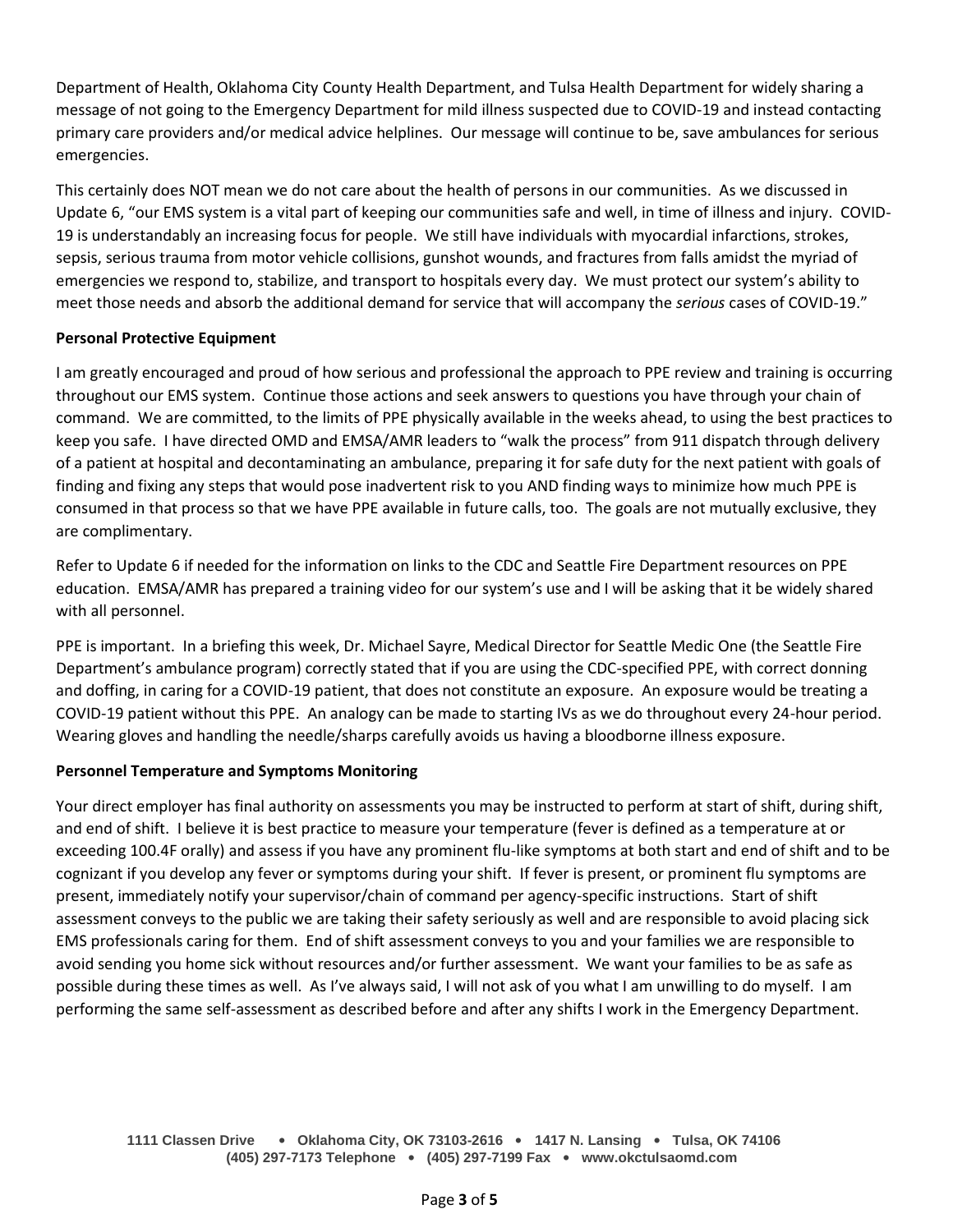Department of Health, Oklahoma City County Health Department, and Tulsa Health Department for widely sharing a message of not going to the Emergency Department for mild illness suspected due to COVID-19 and instead contacting primary care providers and/or medical advice helplines. Our message will continue to be, save ambulances for serious emergencies.

This certainly does NOT mean we do not care about the health of persons in our communities. As we discussed in Update 6, "our EMS system is a vital part of keeping our communities safe and well, in time of illness and injury. COVID-19 is understandably an increasing focus for people. We still have individuals with myocardial infarctions, strokes, sepsis, serious trauma from motor vehicle collisions, gunshot wounds, and fractures from falls amidst the myriad of emergencies we respond to, stabilize, and transport to hospitals every day. We must protect our system's ability to meet those needs and absorb the additional demand for service that will accompany the *serious* cases of COVID-19."

# **Personal Protective Equipment**

I am greatly encouraged and proud of how serious and professional the approach to PPE review and training is occurring throughout our EMS system. Continue those actions and seek answers to questions you have through your chain of command. We are committed, to the limits of PPE physically available in the weeks ahead, to using the best practices to keep you safe. I have directed OMD and EMSA/AMR leaders to "walk the process" from 911 dispatch through delivery of a patient at hospital and decontaminating an ambulance, preparing it for safe duty for the next patient with goals of finding and fixing any steps that would pose inadvertent risk to you AND finding ways to minimize how much PPE is consumed in that process so that we have PPE available in future calls, too. The goals are not mutually exclusive, they are complimentary.

Refer to Update 6 if needed for the information on links to the CDC and Seattle Fire Department resources on PPE education. EMSA/AMR has prepared a training video for our system's use and I will be asking that it be widely shared with all personnel.

PPE is important. In a briefing this week, Dr. Michael Sayre, Medical Director for Seattle Medic One (the Seattle Fire Department's ambulance program) correctly stated that if you are using the CDC-specified PPE, with correct donning and doffing, in caring for a COVID-19 patient, that does not constitute an exposure. An exposure would be treating a COVID-19 patient without this PPE. An analogy can be made to starting IVs as we do throughout every 24-hour period. Wearing gloves and handling the needle/sharps carefully avoids us having a bloodborne illness exposure.

## **Personnel Temperature and Symptoms Monitoring**

Your direct employer has final authority on assessments you may be instructed to perform at start of shift, during shift, and end of shift. I believe it is best practice to measure your temperature (fever is defined as a temperature at or exceeding 100.4F orally) and assess if you have any prominent flu-like symptoms at both start and end of shift and to be cognizant if you develop any fever or symptoms during your shift. If fever is present, or prominent flu symptoms are present, immediately notify your supervisor/chain of command per agency-specific instructions. Start of shift assessment conveys to the public we are taking their safety seriously as well and are responsible to avoid placing sick EMS professionals caring for them. End of shift assessment conveys to you and your families we are responsible to avoid sending you home sick without resources and/or further assessment. We want your families to be as safe as possible during these times as well. As I've always said, I will not ask of you what I am unwilling to do myself. I am performing the same self-assessment as described before and after any shifts I work in the Emergency Department.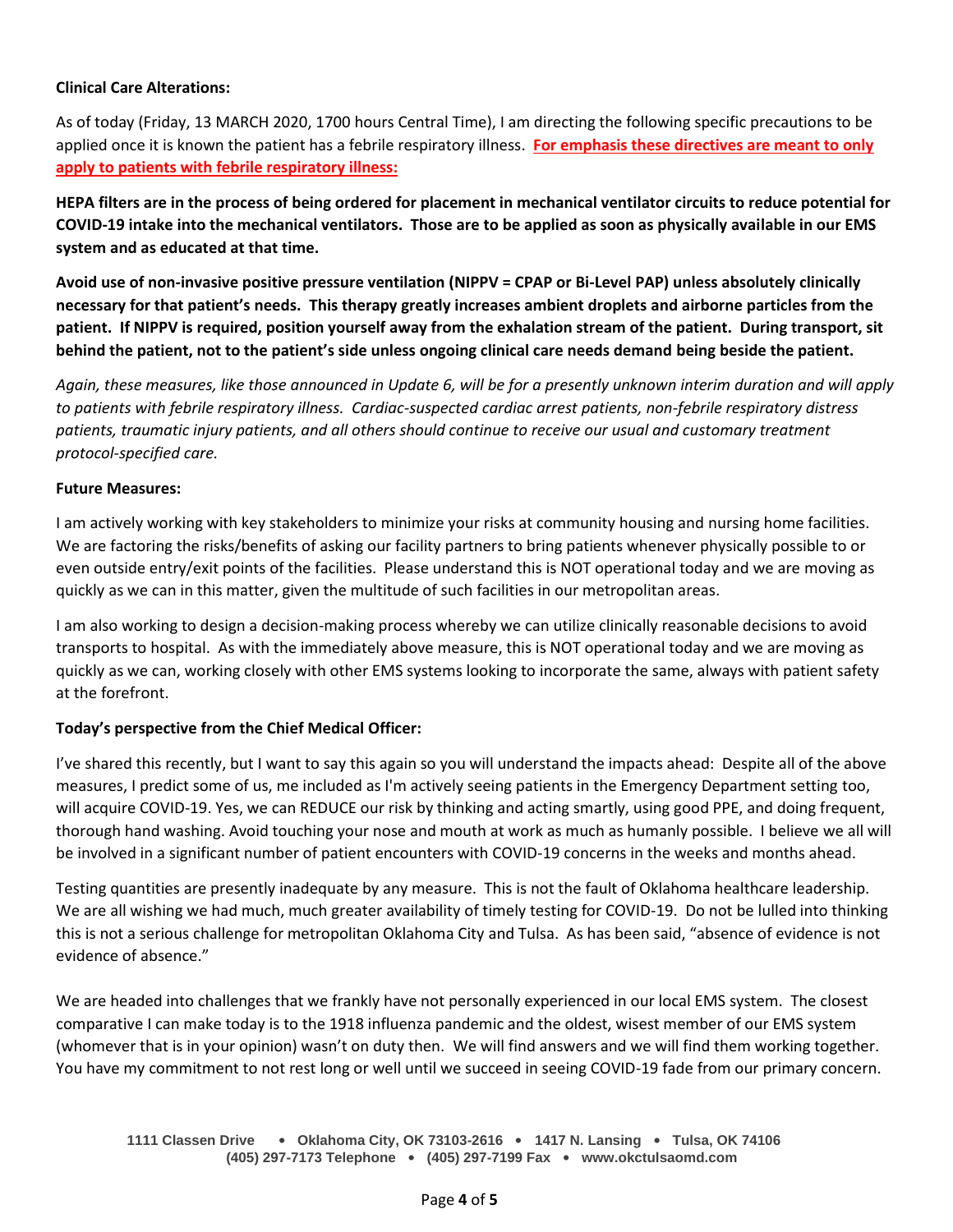## **Clinical Care Alterations:**

As of today (Friday, 13 MARCH 2020, 1700 hours Central Time), I am directing the following specific precautions to be applied once it is known the patient has a febrile respiratory illness. **For emphasis these directives are meant to only apply to patients with febrile respiratory illness:**

**HEPA filters are in the process of being ordered for placement in mechanical ventilator circuits to reduce potential for COVID-19 intake into the mechanical ventilators. Those are to be applied as soon as physically available in our EMS system and as educated at that time.**

**Avoid use of non-invasive positive pressure ventilation (NIPPV = CPAP or Bi-Level PAP) unless absolutely clinically necessary for that patient's needs. This therapy greatly increases ambient droplets and airborne particles from the patient. If NIPPV is required, position yourself away from the exhalation stream of the patient. During transport, sit behind the patient, not to the patient's side unless ongoing clinical care needs demand being beside the patient.**

*Again, these measures, like those announced in Update 6, will be for a presently unknown interim duration and will apply to patients with febrile respiratory illness. Cardiac-suspected cardiac arrest patients, non-febrile respiratory distress patients, traumatic injury patients, and all others should continue to receive our usual and customary treatment protocol-specified care.*

# **Future Measures:**

I am actively working with key stakeholders to minimize your risks at community housing and nursing home facilities. We are factoring the risks/benefits of asking our facility partners to bring patients whenever physically possible to or even outside entry/exit points of the facilities. Please understand this is NOT operational today and we are moving as quickly as we can in this matter, given the multitude of such facilities in our metropolitan areas.

I am also working to design a decision-making process whereby we can utilize clinically reasonable decisions to avoid transports to hospital. As with the immediately above measure, this is NOT operational today and we are moving as quickly as we can, working closely with other EMS systems looking to incorporate the same, always with patient safety at the forefront.

# **Today's perspective from the Chief Medical Officer:**

I've shared this recently, but I want to say this again so you will understand the impacts ahead: Despite all of the above measures, I predict some of us, me included as I'm actively seeing patients in the Emergency Department setting too, will acquire COVID-19. Yes, we can REDUCE our risk by thinking and acting smartly, using good PPE, and doing frequent, thorough hand washing. Avoid touching your nose and mouth at work as much as humanly possible. I believe we all will be involved in a significant number of patient encounters with COVID-19 concerns in the weeks and months ahead.

Testing quantities are presently inadequate by any measure. This is not the fault of Oklahoma healthcare leadership. We are all wishing we had much, much greater availability of timely testing for COVID-19. Do not be lulled into thinking this is not a serious challenge for metropolitan Oklahoma City and Tulsa. As has been said, "absence of evidence is not evidence of absence."

We are headed into challenges that we frankly have not personally experienced in our local EMS system. The closest comparative I can make today is to the 1918 influenza pandemic and the oldest, wisest member of our EMS system (whomever that is in your opinion) wasn't on duty then. We will find answers and we will find them working together. You have my commitment to not rest long or well until we succeed in seeing COVID-19 fade from our primary concern.